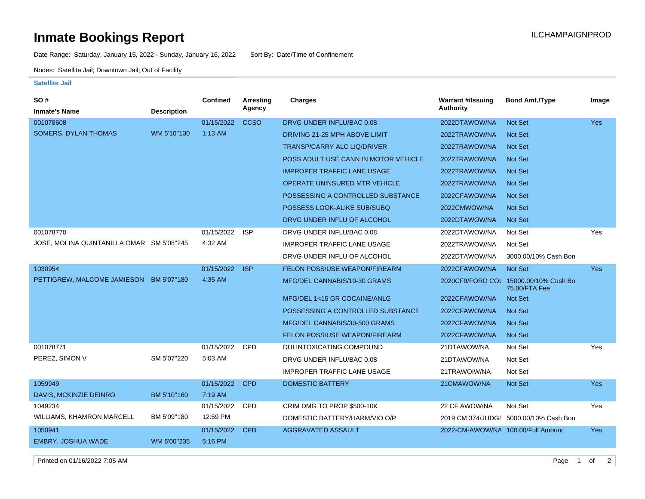## **Inmate Bookings Report International Contract Contract Contract Contract Contract Contract Contract Contract Contract Contract Contract Contract Contract Contract Contract Contract Contract Contract Contract Contract Co**

Date Range: Saturday, January 15, 2022 - Sunday, January 16, 2022 Sort By: Date/Time of Confinement

Nodes: Satellite Jail; Downtown Jail; Out of Facility

## **Satellite Jail**

| <b>Inmate's Name</b><br><b>Description</b><br>001078608<br><b>CCSO</b><br>DRVG UNDER INFLU/BAC 0.08<br>2022DTAWOW/NA<br>01/15/2022<br>Not Set<br><b>Yes</b><br><b>SOMERS, DYLAN THOMAS</b><br>WM 5'10"130<br>$1:13$ AM<br>DRIVING 21-25 MPH ABOVE LIMIT<br>2022TRAWOW/NA<br>Not Set<br><b>TRANSP/CARRY ALC LIQ/DRIVER</b><br>2022TRAWOW/NA<br>Not Set<br>POSS ADULT USE CANN IN MOTOR VEHICLE<br>2022TRAWOW/NA<br><b>Not Set</b><br><b>IMPROPER TRAFFIC LANE USAGE</b><br><b>Not Set</b><br>2022TRAWOW/NA<br><b>OPERATE UNINSURED MTR VEHICLE</b><br>2022TRAWOW/NA<br><b>Not Set</b><br>Not Set<br>POSSESSING A CONTROLLED SUBSTANCE<br>2022CFAWOW/NA<br>POSSESS LOOK-ALIKE SUB/SUBQ<br>2022CMWOW/NA<br><b>Not Set</b><br>DRVG UNDER INFLU OF ALCOHOL<br>2022DTAWOW/NA<br><b>Not Set</b><br>001078770<br>01/15/2022<br><b>ISP</b><br>DRVG UNDER INFLU/BAC 0.08<br>2022DTAWOW/NA<br>Not Set<br>Yes<br>4:32 AM<br>JOSE, MOLINA QUINTANILLA OMAR SM 5'08"245<br><b>IMPROPER TRAFFIC LANE USAGE</b><br>Not Set<br>2022TRAWOW/NA<br>DRVG UNDER INFLU OF ALCOHOL<br>3000.00/10% Cash Bon<br>2022DTAWOW/NA<br>01/15/2022<br><b>ISP</b><br>FELON POSS/USE WEAPON/FIREARM<br>1030954<br>2022CFAWOW/NA<br><b>Not Set</b><br>Yes<br>4:35 AM<br>PETTIGREW, MALCOME JAMIESON<br>BM 5'07"180<br>MFG/DEL CANNABIS/10-30 GRAMS<br>2020CF9/FORD COL 15000.00/10% Cash Bo<br>75.00/FTA Fee<br>Not Set<br>MFG/DEL 1<15 GR COCAINE/ANLG<br>2022CFAWOW/NA<br>Not Set<br>POSSESSING A CONTROLLED SUBSTANCE<br>2022CFAWOW/NA<br>Not Set<br>MFG/DEL CANNABIS/30-500 GRAMS<br>2022CFAWOW/NA<br><b>FELON POSS/USE WEAPON/FIREARM</b><br>Not Set<br>2022CFAWOW/NA<br>001078771<br>01/15/2022<br><b>CPD</b><br>DUI INTOXICATING COMPOUND<br>21DTAWOW/NA<br>Not Set<br>Yes<br>PEREZ, SIMON V<br>SM 5'07"220<br>5:03 AM<br>DRVG UNDER INFLU/BAC 0.08<br>Not Set<br>21DTAWOW/NA<br><b>IMPROPER TRAFFIC LANE USAGE</b><br>Not Set<br>21TRAWOIW/NA<br>01/15/2022<br><b>DOMESTIC BATTERY</b><br>1059949<br><b>CPD</b><br>21CMAWOW/NA<br>Not Set<br><b>Yes</b><br>7:19 AM<br><b>DAVIS, MCKINZIE DEINRO</b><br>BM 5'10"160<br>1049234<br>01/15/2022<br><b>CPD</b><br>CRIM DMG TO PROP \$500-10K<br>22 CF AWOW/NA<br>Not Set<br>Yes<br>BM 5'09"180<br>12:59 PM<br><b>WILLIAMS, KHAMRON MARCELL</b><br>DOMESTIC BATTERY/HARM/VIO O/P<br>2019 CM 374/JUDGE 5000.00/10% Cash Bon<br>1050941<br>01/15/2022<br><b>AGGRAVATED ASSAULT</b><br>2022-CM-AWOW/NA 100.00/Full Amount<br><b>CPD</b><br>Yes | <b>SO#</b>         |             | <b>Confined</b> | Arresting | <b>Charges</b> | <b>Warrant #/Issuing</b> | <b>Bond Amt./Type</b> | Image |
|-----------------------------------------------------------------------------------------------------------------------------------------------------------------------------------------------------------------------------------------------------------------------------------------------------------------------------------------------------------------------------------------------------------------------------------------------------------------------------------------------------------------------------------------------------------------------------------------------------------------------------------------------------------------------------------------------------------------------------------------------------------------------------------------------------------------------------------------------------------------------------------------------------------------------------------------------------------------------------------------------------------------------------------------------------------------------------------------------------------------------------------------------------------------------------------------------------------------------------------------------------------------------------------------------------------------------------------------------------------------------------------------------------------------------------------------------------------------------------------------------------------------------------------------------------------------------------------------------------------------------------------------------------------------------------------------------------------------------------------------------------------------------------------------------------------------------------------------------------------------------------------------------------------------------------------------------------------------------------------------------------------------------------------------------------------------------------------------------------------------------------------------------------------------------------------------------------------------------------------------------------------------------------------------------------------------------------------------------------------------------------------------------------------------------------------------------------------|--------------------|-------------|-----------------|-----------|----------------|--------------------------|-----------------------|-------|
|                                                                                                                                                                                                                                                                                                                                                                                                                                                                                                                                                                                                                                                                                                                                                                                                                                                                                                                                                                                                                                                                                                                                                                                                                                                                                                                                                                                                                                                                                                                                                                                                                                                                                                                                                                                                                                                                                                                                                                                                                                                                                                                                                                                                                                                                                                                                                                                                                                                           |                    |             |                 | Agency    |                | Authority                |                       |       |
|                                                                                                                                                                                                                                                                                                                                                                                                                                                                                                                                                                                                                                                                                                                                                                                                                                                                                                                                                                                                                                                                                                                                                                                                                                                                                                                                                                                                                                                                                                                                                                                                                                                                                                                                                                                                                                                                                                                                                                                                                                                                                                                                                                                                                                                                                                                                                                                                                                                           |                    |             |                 |           |                |                          |                       |       |
|                                                                                                                                                                                                                                                                                                                                                                                                                                                                                                                                                                                                                                                                                                                                                                                                                                                                                                                                                                                                                                                                                                                                                                                                                                                                                                                                                                                                                                                                                                                                                                                                                                                                                                                                                                                                                                                                                                                                                                                                                                                                                                                                                                                                                                                                                                                                                                                                                                                           |                    |             |                 |           |                |                          |                       |       |
|                                                                                                                                                                                                                                                                                                                                                                                                                                                                                                                                                                                                                                                                                                                                                                                                                                                                                                                                                                                                                                                                                                                                                                                                                                                                                                                                                                                                                                                                                                                                                                                                                                                                                                                                                                                                                                                                                                                                                                                                                                                                                                                                                                                                                                                                                                                                                                                                                                                           |                    |             |                 |           |                |                          |                       |       |
|                                                                                                                                                                                                                                                                                                                                                                                                                                                                                                                                                                                                                                                                                                                                                                                                                                                                                                                                                                                                                                                                                                                                                                                                                                                                                                                                                                                                                                                                                                                                                                                                                                                                                                                                                                                                                                                                                                                                                                                                                                                                                                                                                                                                                                                                                                                                                                                                                                                           |                    |             |                 |           |                |                          |                       |       |
|                                                                                                                                                                                                                                                                                                                                                                                                                                                                                                                                                                                                                                                                                                                                                                                                                                                                                                                                                                                                                                                                                                                                                                                                                                                                                                                                                                                                                                                                                                                                                                                                                                                                                                                                                                                                                                                                                                                                                                                                                                                                                                                                                                                                                                                                                                                                                                                                                                                           |                    |             |                 |           |                |                          |                       |       |
|                                                                                                                                                                                                                                                                                                                                                                                                                                                                                                                                                                                                                                                                                                                                                                                                                                                                                                                                                                                                                                                                                                                                                                                                                                                                                                                                                                                                                                                                                                                                                                                                                                                                                                                                                                                                                                                                                                                                                                                                                                                                                                                                                                                                                                                                                                                                                                                                                                                           |                    |             |                 |           |                |                          |                       |       |
|                                                                                                                                                                                                                                                                                                                                                                                                                                                                                                                                                                                                                                                                                                                                                                                                                                                                                                                                                                                                                                                                                                                                                                                                                                                                                                                                                                                                                                                                                                                                                                                                                                                                                                                                                                                                                                                                                                                                                                                                                                                                                                                                                                                                                                                                                                                                                                                                                                                           |                    |             |                 |           |                |                          |                       |       |
|                                                                                                                                                                                                                                                                                                                                                                                                                                                                                                                                                                                                                                                                                                                                                                                                                                                                                                                                                                                                                                                                                                                                                                                                                                                                                                                                                                                                                                                                                                                                                                                                                                                                                                                                                                                                                                                                                                                                                                                                                                                                                                                                                                                                                                                                                                                                                                                                                                                           |                    |             |                 |           |                |                          |                       |       |
|                                                                                                                                                                                                                                                                                                                                                                                                                                                                                                                                                                                                                                                                                                                                                                                                                                                                                                                                                                                                                                                                                                                                                                                                                                                                                                                                                                                                                                                                                                                                                                                                                                                                                                                                                                                                                                                                                                                                                                                                                                                                                                                                                                                                                                                                                                                                                                                                                                                           |                    |             |                 |           |                |                          |                       |       |
|                                                                                                                                                                                                                                                                                                                                                                                                                                                                                                                                                                                                                                                                                                                                                                                                                                                                                                                                                                                                                                                                                                                                                                                                                                                                                                                                                                                                                                                                                                                                                                                                                                                                                                                                                                                                                                                                                                                                                                                                                                                                                                                                                                                                                                                                                                                                                                                                                                                           |                    |             |                 |           |                |                          |                       |       |
|                                                                                                                                                                                                                                                                                                                                                                                                                                                                                                                                                                                                                                                                                                                                                                                                                                                                                                                                                                                                                                                                                                                                                                                                                                                                                                                                                                                                                                                                                                                                                                                                                                                                                                                                                                                                                                                                                                                                                                                                                                                                                                                                                                                                                                                                                                                                                                                                                                                           |                    |             |                 |           |                |                          |                       |       |
|                                                                                                                                                                                                                                                                                                                                                                                                                                                                                                                                                                                                                                                                                                                                                                                                                                                                                                                                                                                                                                                                                                                                                                                                                                                                                                                                                                                                                                                                                                                                                                                                                                                                                                                                                                                                                                                                                                                                                                                                                                                                                                                                                                                                                                                                                                                                                                                                                                                           |                    |             |                 |           |                |                          |                       |       |
|                                                                                                                                                                                                                                                                                                                                                                                                                                                                                                                                                                                                                                                                                                                                                                                                                                                                                                                                                                                                                                                                                                                                                                                                                                                                                                                                                                                                                                                                                                                                                                                                                                                                                                                                                                                                                                                                                                                                                                                                                                                                                                                                                                                                                                                                                                                                                                                                                                                           |                    |             |                 |           |                |                          |                       |       |
|                                                                                                                                                                                                                                                                                                                                                                                                                                                                                                                                                                                                                                                                                                                                                                                                                                                                                                                                                                                                                                                                                                                                                                                                                                                                                                                                                                                                                                                                                                                                                                                                                                                                                                                                                                                                                                                                                                                                                                                                                                                                                                                                                                                                                                                                                                                                                                                                                                                           |                    |             |                 |           |                |                          |                       |       |
|                                                                                                                                                                                                                                                                                                                                                                                                                                                                                                                                                                                                                                                                                                                                                                                                                                                                                                                                                                                                                                                                                                                                                                                                                                                                                                                                                                                                                                                                                                                                                                                                                                                                                                                                                                                                                                                                                                                                                                                                                                                                                                                                                                                                                                                                                                                                                                                                                                                           |                    |             |                 |           |                |                          |                       |       |
|                                                                                                                                                                                                                                                                                                                                                                                                                                                                                                                                                                                                                                                                                                                                                                                                                                                                                                                                                                                                                                                                                                                                                                                                                                                                                                                                                                                                                                                                                                                                                                                                                                                                                                                                                                                                                                                                                                                                                                                                                                                                                                                                                                                                                                                                                                                                                                                                                                                           |                    |             |                 |           |                |                          |                       |       |
|                                                                                                                                                                                                                                                                                                                                                                                                                                                                                                                                                                                                                                                                                                                                                                                                                                                                                                                                                                                                                                                                                                                                                                                                                                                                                                                                                                                                                                                                                                                                                                                                                                                                                                                                                                                                                                                                                                                                                                                                                                                                                                                                                                                                                                                                                                                                                                                                                                                           |                    |             |                 |           |                |                          |                       |       |
|                                                                                                                                                                                                                                                                                                                                                                                                                                                                                                                                                                                                                                                                                                                                                                                                                                                                                                                                                                                                                                                                                                                                                                                                                                                                                                                                                                                                                                                                                                                                                                                                                                                                                                                                                                                                                                                                                                                                                                                                                                                                                                                                                                                                                                                                                                                                                                                                                                                           |                    |             |                 |           |                |                          |                       |       |
|                                                                                                                                                                                                                                                                                                                                                                                                                                                                                                                                                                                                                                                                                                                                                                                                                                                                                                                                                                                                                                                                                                                                                                                                                                                                                                                                                                                                                                                                                                                                                                                                                                                                                                                                                                                                                                                                                                                                                                                                                                                                                                                                                                                                                                                                                                                                                                                                                                                           |                    |             |                 |           |                |                          |                       |       |
|                                                                                                                                                                                                                                                                                                                                                                                                                                                                                                                                                                                                                                                                                                                                                                                                                                                                                                                                                                                                                                                                                                                                                                                                                                                                                                                                                                                                                                                                                                                                                                                                                                                                                                                                                                                                                                                                                                                                                                                                                                                                                                                                                                                                                                                                                                                                                                                                                                                           |                    |             |                 |           |                |                          |                       |       |
|                                                                                                                                                                                                                                                                                                                                                                                                                                                                                                                                                                                                                                                                                                                                                                                                                                                                                                                                                                                                                                                                                                                                                                                                                                                                                                                                                                                                                                                                                                                                                                                                                                                                                                                                                                                                                                                                                                                                                                                                                                                                                                                                                                                                                                                                                                                                                                                                                                                           |                    |             |                 |           |                |                          |                       |       |
|                                                                                                                                                                                                                                                                                                                                                                                                                                                                                                                                                                                                                                                                                                                                                                                                                                                                                                                                                                                                                                                                                                                                                                                                                                                                                                                                                                                                                                                                                                                                                                                                                                                                                                                                                                                                                                                                                                                                                                                                                                                                                                                                                                                                                                                                                                                                                                                                                                                           |                    |             |                 |           |                |                          |                       |       |
|                                                                                                                                                                                                                                                                                                                                                                                                                                                                                                                                                                                                                                                                                                                                                                                                                                                                                                                                                                                                                                                                                                                                                                                                                                                                                                                                                                                                                                                                                                                                                                                                                                                                                                                                                                                                                                                                                                                                                                                                                                                                                                                                                                                                                                                                                                                                                                                                                                                           |                    |             |                 |           |                |                          |                       |       |
|                                                                                                                                                                                                                                                                                                                                                                                                                                                                                                                                                                                                                                                                                                                                                                                                                                                                                                                                                                                                                                                                                                                                                                                                                                                                                                                                                                                                                                                                                                                                                                                                                                                                                                                                                                                                                                                                                                                                                                                                                                                                                                                                                                                                                                                                                                                                                                                                                                                           |                    |             |                 |           |                |                          |                       |       |
|                                                                                                                                                                                                                                                                                                                                                                                                                                                                                                                                                                                                                                                                                                                                                                                                                                                                                                                                                                                                                                                                                                                                                                                                                                                                                                                                                                                                                                                                                                                                                                                                                                                                                                                                                                                                                                                                                                                                                                                                                                                                                                                                                                                                                                                                                                                                                                                                                                                           |                    |             |                 |           |                |                          |                       |       |
|                                                                                                                                                                                                                                                                                                                                                                                                                                                                                                                                                                                                                                                                                                                                                                                                                                                                                                                                                                                                                                                                                                                                                                                                                                                                                                                                                                                                                                                                                                                                                                                                                                                                                                                                                                                                                                                                                                                                                                                                                                                                                                                                                                                                                                                                                                                                                                                                                                                           |                    |             |                 |           |                |                          |                       |       |
|                                                                                                                                                                                                                                                                                                                                                                                                                                                                                                                                                                                                                                                                                                                                                                                                                                                                                                                                                                                                                                                                                                                                                                                                                                                                                                                                                                                                                                                                                                                                                                                                                                                                                                                                                                                                                                                                                                                                                                                                                                                                                                                                                                                                                                                                                                                                                                                                                                                           | EMBRY, JOSHUA WADE | WM 6'00"235 | 5:16 PM         |           |                |                          |                       |       |

Printed on 01/16/2022 7:05 AM Page 1 of 2